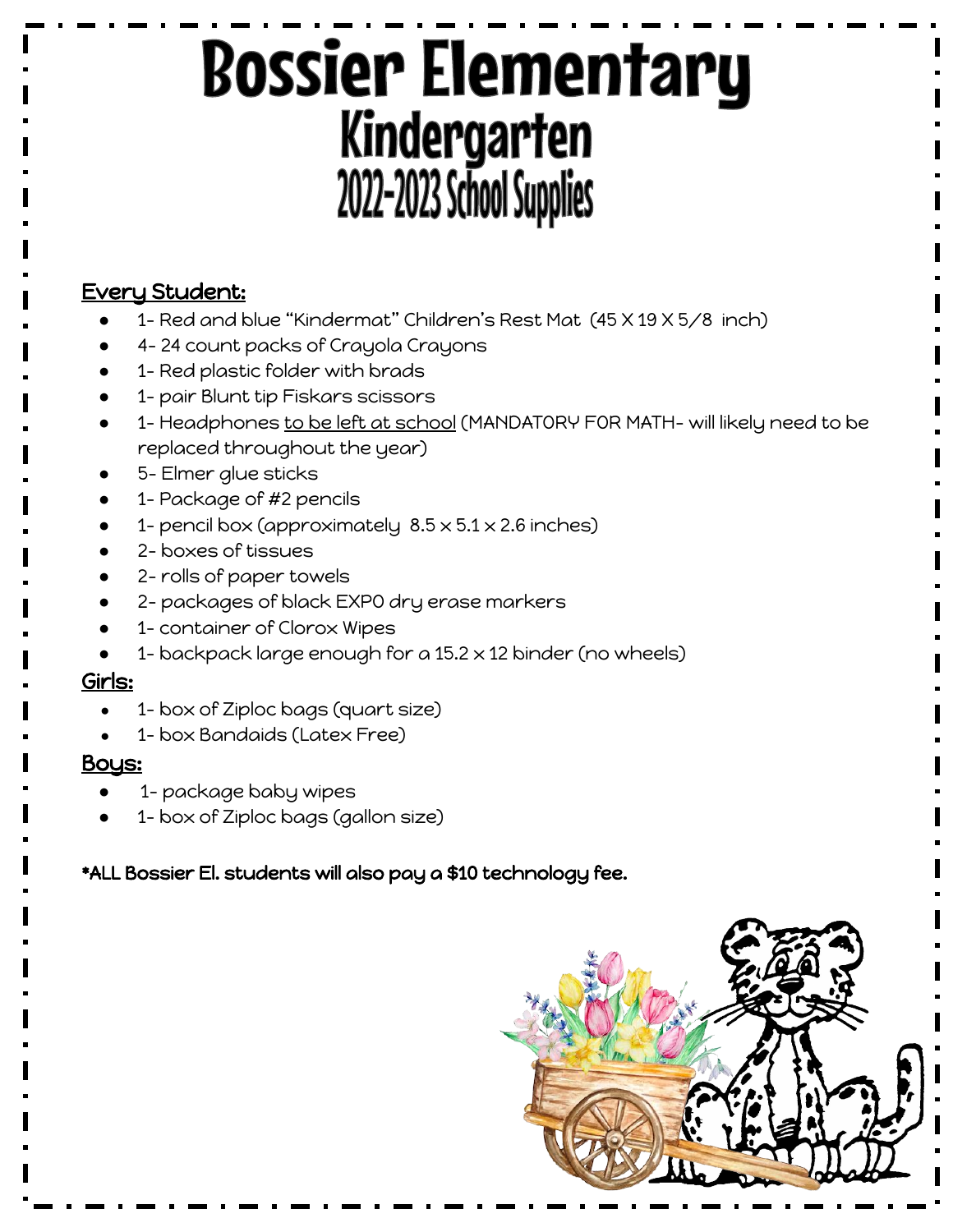## **Bossier Elementary** Kindergarten 2022-2023 School Supplies

### Every Student:

- 1- Red and blue "Kindermat" Children's Rest Mat (45 X 19 X 5/8 inch)
- 4-24 count packs of Crayola Crayons
- 1- Red plastic folder with brads
- 1- pair Blunt tip Fiskars scissors
- 1- Headphones to be left at school (MANDATORY FOR MATH- will likely need to be replaced throughout the year)
- 5- Elmer glue sticks
- 1- Package of #2 pencils
- 1- pencil box (approximately  $8.5 \times 5.1 \times 2.6$  inches)
- 2- boxes of tissues
- 2- rolls of paper towels
- 2- packages of black EXPO dry erase markers
- 1- container of Clorox Wipes
- 1- backpack large enough for a  $15.2 \times 12$  binder (no wheels)

#### Girls:

- 1- box of Ziploc bags (quart size)
- 1- box Bandaids (Latex Free)

#### Bous:

- **●** 1- package baby wipes
- **●** 1- box of Ziploc bags (gallon size)

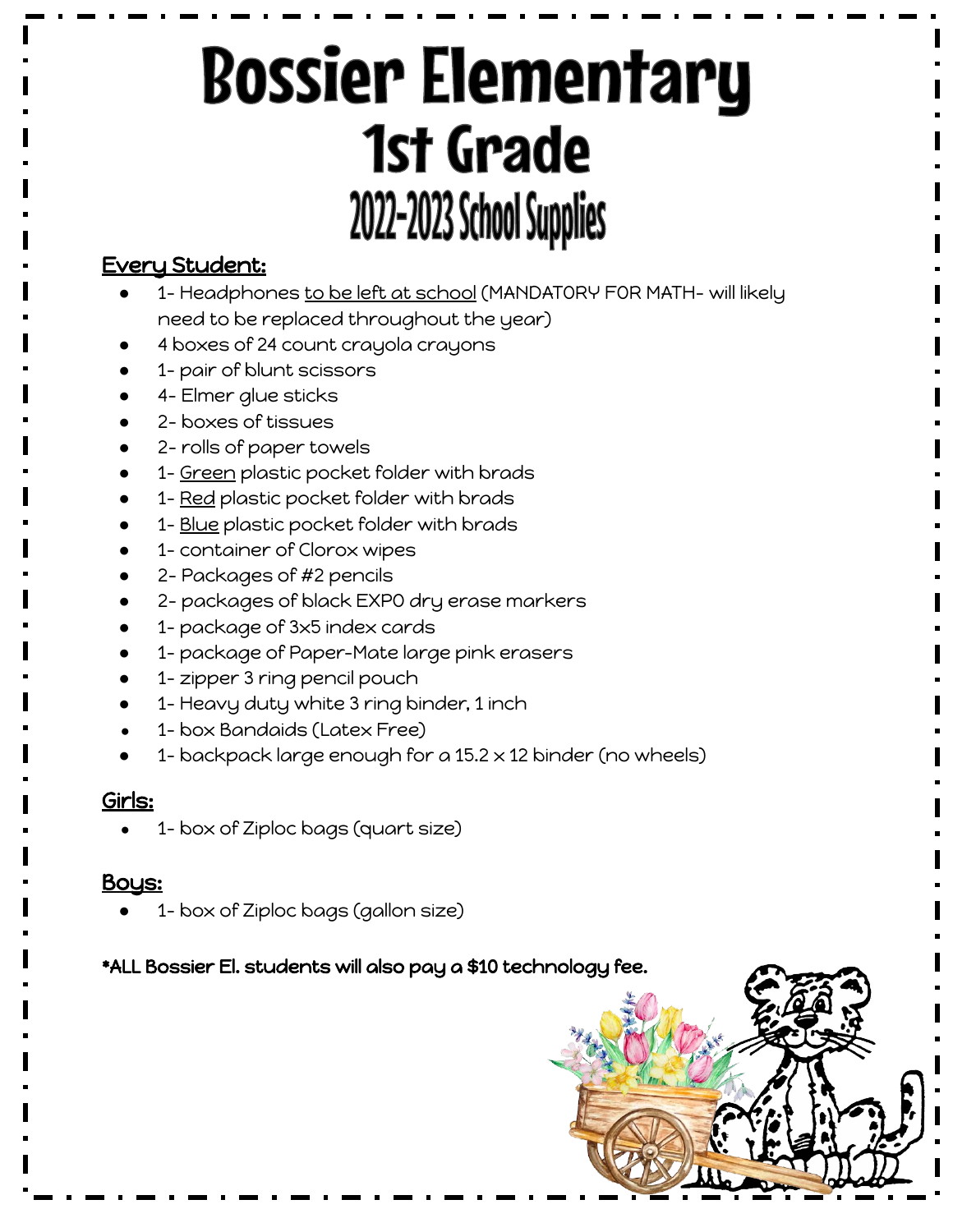# **Bossier Elementary** 1st Grade 2022-2023 School Supplies

#### Every Student:

- 1- Headphones to be left at school (MANDATORY FOR MATH- will likely need to be replaced throughout the year)
- 4 boxes of 24 count crayola crayons
- 1- pair of blunt scissors
- 4- Elmer glue sticks
- 2- boxes of tissues
- 2- rolls of paper towels
- 1- Green plastic pocket folder with brads
- 1- Red plastic pocket folder with brads
- 1- Blue plastic pocket folder with brads
- 1- container of Clorox wipes
- 2- Packages of #2 pencils
- 2- packages of black EXPO dry erase markers
- 1- package of 3x5 index cards
- 1- package of Paper-Mate large pink erasers
- 1- zipper 3 ring pencil pouch
- 1- Heavy duty white 3 ring binder, 1 inch
- 1- box Bandaids (Latex Free)
- 1- backpack large enough for a  $15.2 \times 12$  binder (no wheels)

#### Girls:

1- box of Ziploc bags (quart size)

#### Boy<u>s:</u>

**●** 1- box of Ziploc bags (gallon size)

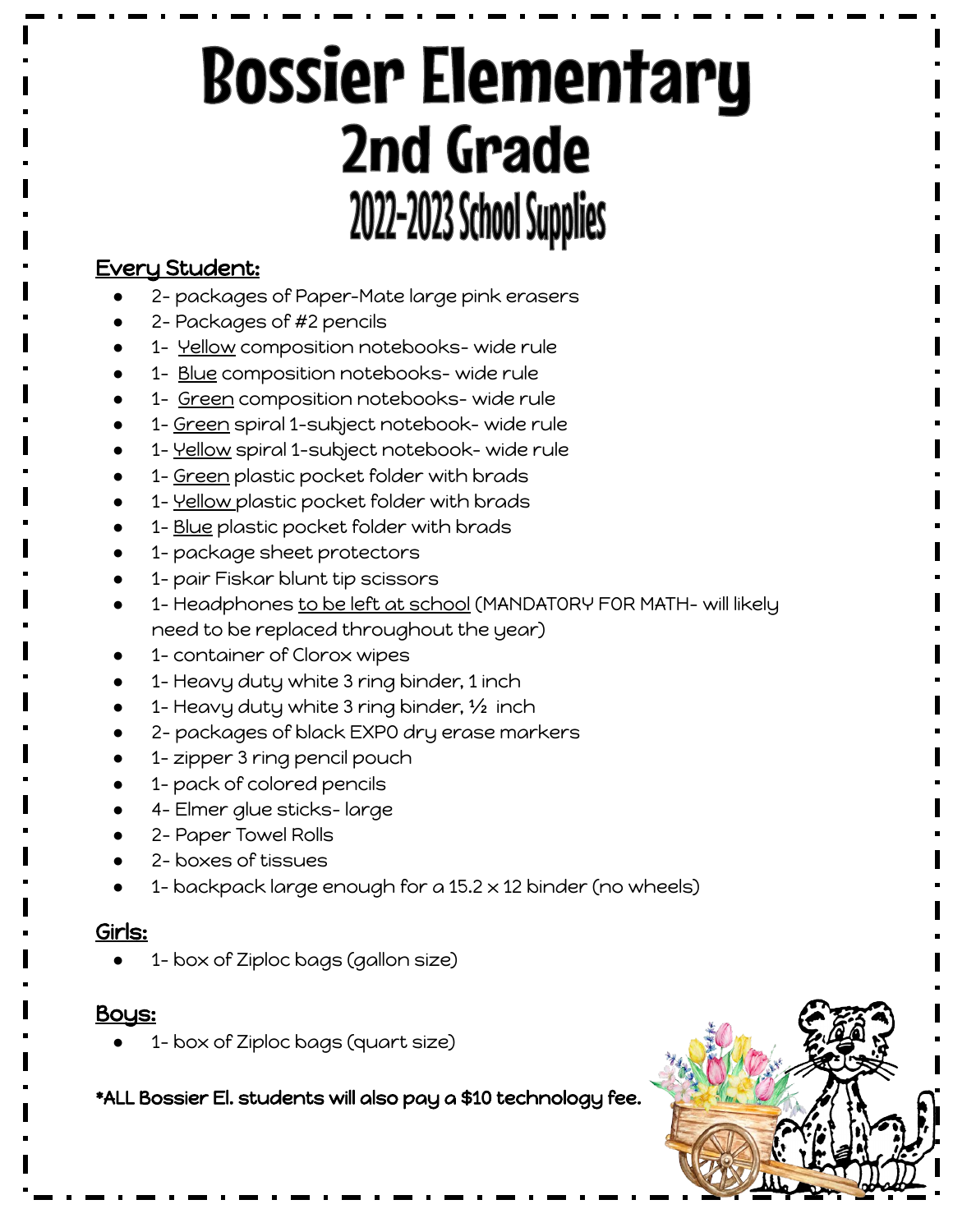# **Bossier Elementary** 2nd Grade 2022-2023 School Supplies

## Every Student:

- 2- packages of Paper-Mate large pink erasers
- 2- Packages of #2 pencils
- 1- Yellow composition notebooks- wide rule
- 1- Blue composition notebooks- wide rule
- 1- Green composition notebooks- wide rule
- 1- Green spiral 1-subject notebook- wide rule
- 1- Yellow spiral 1-subject notebook- wide rule
- 1- Green plastic pocket folder with brads
- **•** 1- <u>Yellow p</u>lastic pocket folder with brads
- 1- Blue plastic pocket folder with brads
- 1- package sheet protectors
- 1- pair Fiskar blunt tip scissors
- **•** 1- Headphones <u>to be left at school</u> (MANDATORY FOR MATH- will likely need to be replaced throughout the year)
- 1- container of Clorox wipes
- 1- Heavy duty white 3 ring binder, 1 inch
- 1- Heavy duty white 3 ring binder, 1/2 inch
- 2- packages of black EXPO dry erase markers
- 1- zipper 3 ring pencil pouch
- 1- pack of colored pencils
- 4- Elmer glue sticks- large
- 2- Paper Towel Rolls
- 2- boxes of tissues
- 1- backpack large enough for a  $15.2 \times 12$  binder (no wheels)

### Girls:

1- box of Ziploc bags (gallon size)

### <u>Bous:</u>

1- box of Ziploc bags (quart size)

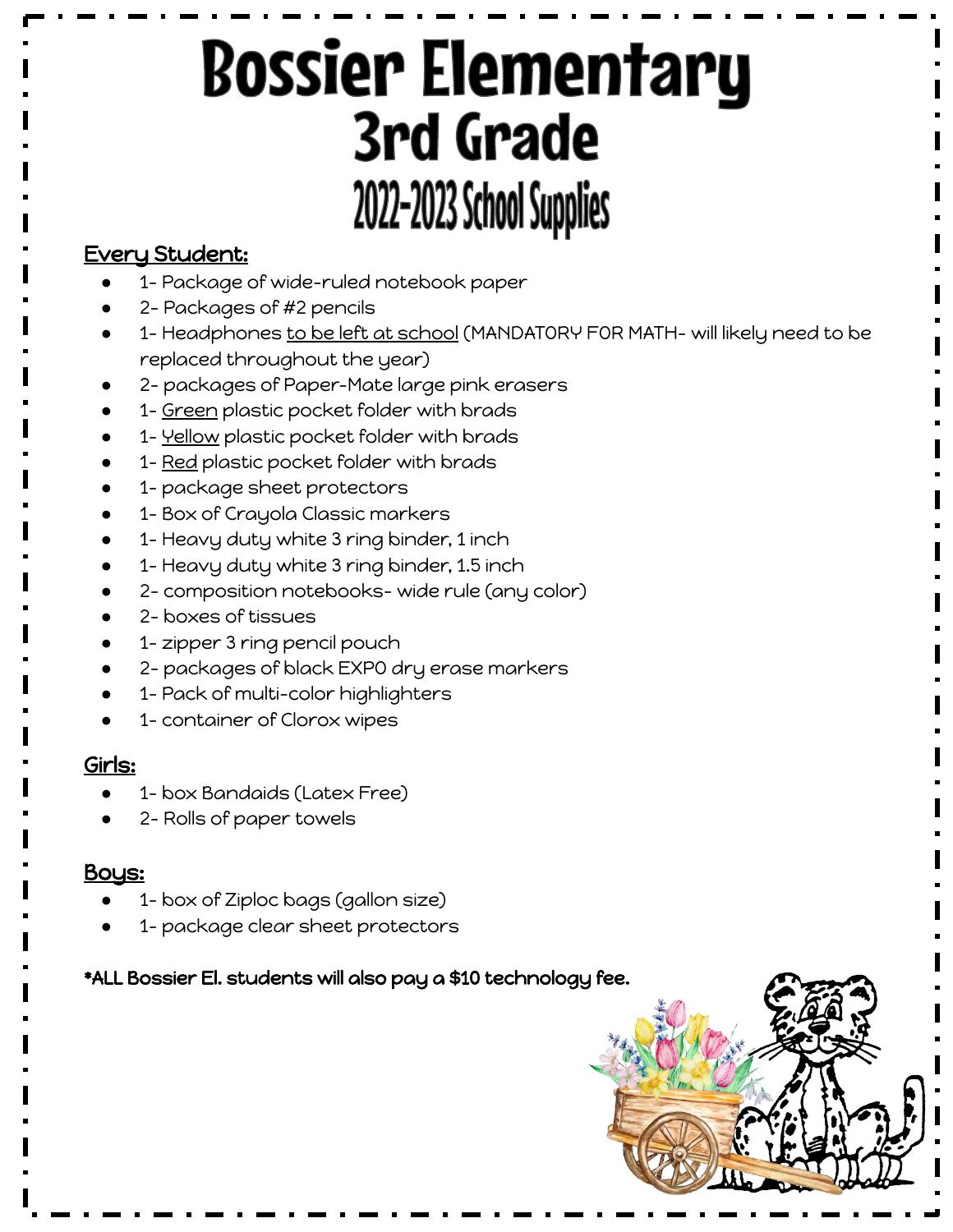# **Bossier Elementary** 3rd Grade 2022-2023 School Supplies

#### Every Student:

- 1- Package of wide-ruled notebook paper
- 2- Packages of #2 pencils
- 1- Headphones to be left at school (MANDATORY FOR MATH- will likely need to be replaced throughout the year)
- 2- packages of Paper-Mate large pink erasers
- 1- Green plastic pocket folder with brads
- 1- Yellow plastic pocket folder with brads
- 1- Red plastic pocket folder with brads
- 1- package sheet protectors
- 1- Box of Crayola Classic markers
- 1- Heavy duty white 3 ring binder, 1 inch
- 1- Heavy duty white 3 ring binder, 1.5 inch
- 2- composition notebooks- wide rule (any color)
- 2- boxes of tissues
- 1- zipper 3 ring pencil pouch
- 2- packages of black EXPO dry erase markers
- 1- Pack of multi-color highlighters
- 1- container of Clorox wipes

#### Girls:

- 1- box Bandaids (Latex Free)
- 2- Rolls of paper towels

#### Boys:

- 1- box of Ziploc bags (gallon size)
- 1- package clear sheet protectors

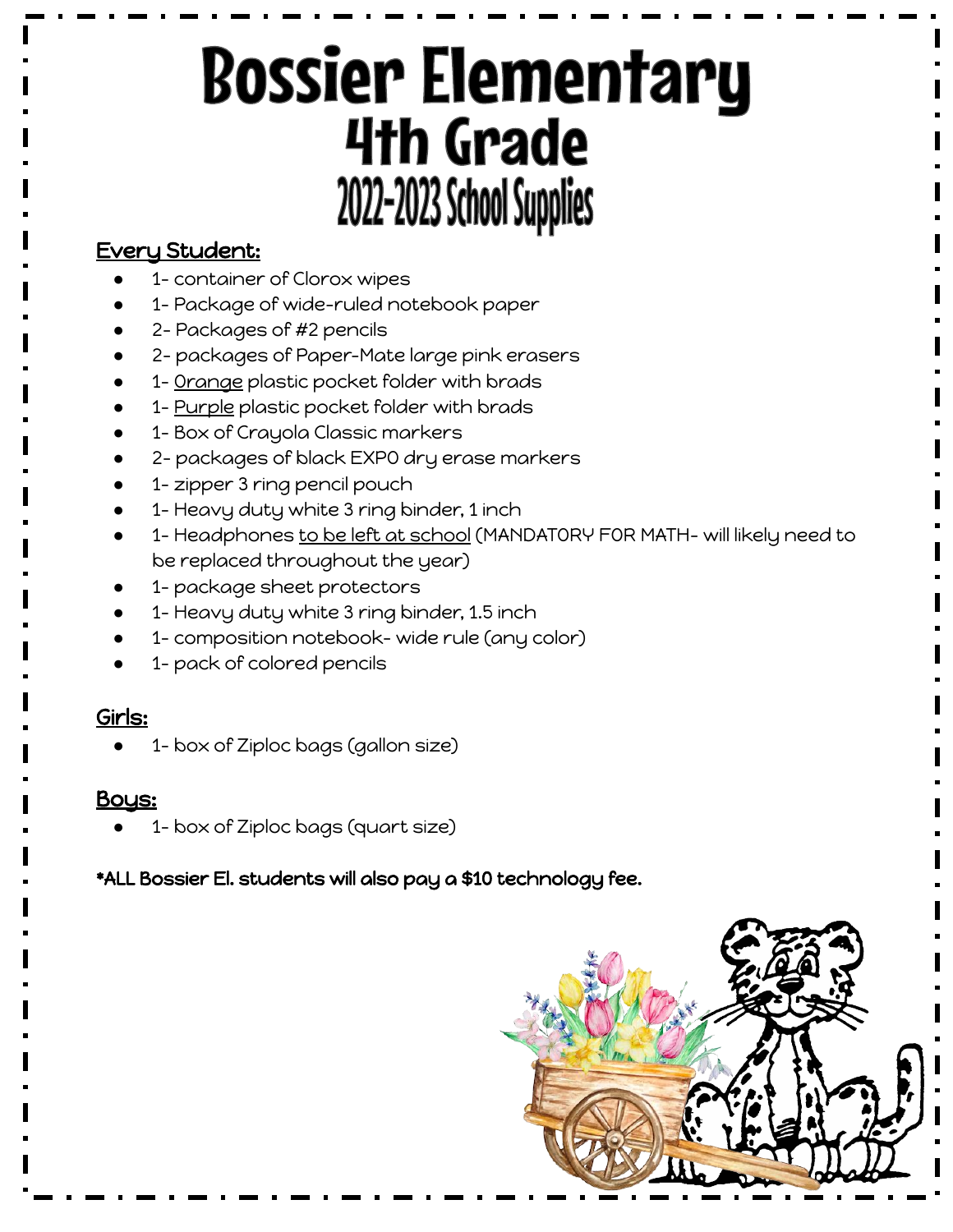# **Bossier Elementary 4th Grade** 2022-2023 School Supplies

## Every Student:

- 1- container of Clorox wipes
- 1- Package of wide-ruled notebook paper
- 2- Packages of #2 pencils
- 2- packages of Paper-Mate large pink erasers
- 1- Orange plastic pocket folder with brads
- **•** 1- <u>Purple</u> plastic pocket folder with brads
- 1- Box of Crayola Classic markers
- 2- packages of black EXPO dry erase markers
- 1- zipper 3 ring pencil pouch
- 1- Heavy duty white 3 ring binder, 1 inch
- **•** 1- Headphones to be left at school (MANDATORY FOR MATH- will likely need to be replaced throughout the year)
- 1- package sheet protectors
- 1- Heavy duty white 3 ring binder, 1.5 inch
- 1- composition notebook- wide rule (any color)
- 1- pack of colored pencils

#### Girls:

1- box of Ziploc bags (gallon size)

#### **Bous:**

1- box of Ziploc bags (quart size)